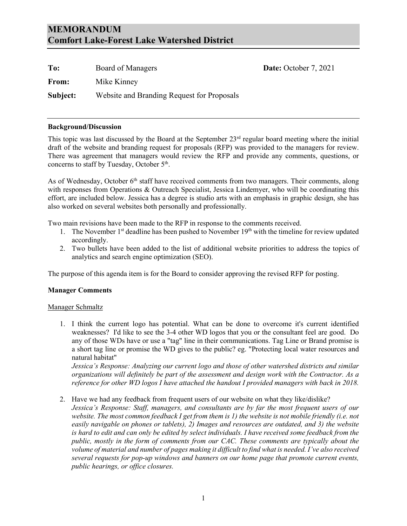# **MEMORANDUM Comfort Lake-Forest Lake Watershed District**

| To:      | Board of Managers                          | Date: October 7, 2021 |
|----------|--------------------------------------------|-----------------------|
| From:    | Mike Kinney                                |                       |
| Subject: | Website and Branding Request for Proposals |                       |

#### **Background/Discussion**

This topic was last discussed by the Board at the September 23<sup>rd</sup> regular board meeting where the initial draft of the website and branding request for proposals (RFP) was provided to the managers for review. There was agreement that managers would review the RFP and provide any comments, questions, or concerns to staff by Tuesday, October 5<sup>th</sup>.

As of Wednesday, October 6<sup>th</sup> staff have received comments from two managers. Their comments, along with responses from Operations & Outreach Specialist, Jessica Lindemyer, who will be coordinating this effort, are included below. Jessica has a degree is studio arts with an emphasis in graphic design, she has also worked on several websites both personally and professionally.

Two main revisions have been made to the RFP in response to the comments received.

- 1. The November  $1<sup>st</sup>$  deadline has been pushed to November  $19<sup>th</sup>$  with the timeline for review updated accordingly.
- 2. Two bullets have been added to the list of additional website priorities to address the topics of analytics and search engine optimization (SEO).

The purpose of this agenda item is for the Board to consider approving the revised RFP for posting.

#### **Manager Comments**

#### Manager Schmaltz

1. I think the current logo has potential. What can be done to overcome it's current identified weaknesses? I'd like to see the 3-4 other WD logos that you or the consultant feel are good. Do any of those WDs have or use a "tag" line in their communications. Tag Line or Brand promise is a short tag line or promise the WD gives to the public? eg. "Protecting local water resources and natural habitat"

*Jessica's Response: Analyzing our current logo and those of other watershed districts and similar organizations will definitely be part of the assessment and design work with the Contractor. As a reference for other WD logos I have attached the handout I provided managers with back in 2018.*

2. Have we had any feedback from frequent users of our website on what they like/dislike? *Jessica's Response: Staff, managers, and consultants are by far the most frequent users of our website. The most common feedback I get from them is 1) the website is not mobile friendly (i.e. not easily navigable on phones or tablets), 2) Images and resources are outdated, and 3) the website is hard to edit and can only be edited by select individuals. I have received some feedback from the public, mostly in the form of comments from our CAC. These comments are typically about the volume of material and number of pages making it difficult to find what is needed. I've also received several requests for pop-up windows and banners on our home page that promote current events, public hearings, or office closures.*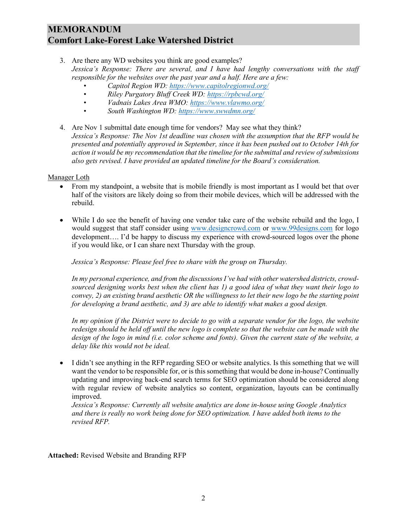## **MEMORANDUM Comfort Lake-Forest Lake Watershed District**

- 3. Are there any WD websites you think are good examples? *Jessica's Response: There are several, and I have had lengthy conversations with the staff responsible for the websites over the past year and a half. Here are a few:*
	- *Capitol Region WD:<https://www.capitolregionwd.org/>*
	- *Riley Purgatory Bluff Creek WD:<https://rpbcwd.org/>*
	- *Vadnais Lakes Area WMO:<https://www.vlawmo.org/>*
	- *South Washington WD:<https://www.swwdmn.org/>*
- 4. Are Nov 1 submittal date enough time for vendors? May see what they think? *Jessica's Response: The Nov 1st deadline was chosen with the assumption that the RFP would be presented and potentially approved in September, since it has been pushed out to October 14th for action it would be my recommendation that the timeline for the submittal and review of submissions also gets revised. I have provided an updated timeline for the Board's consideration.*

#### Manager Loth

- From my standpoint, a website that is mobile friendly is most important as I would bet that over half of the visitors are likely doing so from their mobile devices, which will be addressed with the rebuild.
- While I do see the benefit of having one vendor take care of the website rebuild and the logo, I would suggest that staff consider using [www.designcrowd.com](http://www.designcrowd.com/) or [www.99designs.com](http://www.99designs.com/) for logo development…. I'd be happy to discuss my experience with crowd-sourced logos over the phone if you would like, or I can share next Thursday with the group.

*Jessica's Response: Please feel free to share with the group on Thursday.*

*In my personal experience, and from the discussionsI've had with other watershed districts, crowdsourced designing works best when the client has 1) a good idea of what they want their logo to convey, 2) an existing brand aesthetic OR the willingness to let their new logo be the starting point for developing a brand aesthetic, and 3) are able to identify what makes a good design.* 

*In my opinion if the District were to decide to go with a separate vendor for the logo, the website redesign should be held off until the new logo is complete so that the website can be made with the design of the logo in mind (i.e. color scheme and fonts). Given the current state of the website, a delay like this would not be ideal.* 

• I didn't see anything in the RFP regarding SEO or website analytics. Is this something that we will want the vendor to be responsible for, or is this something that would be done in-house? Continually updating and improving back-end search terms for SEO optimization should be considered along with regular review of website analytics so content, organization, layouts can be continually improved.

*Jessica's Response: Currently all website analytics are done in-house using Google Analytics and there is really no work being done for SEO optimization. I have added both items to the revised RFP.* 

**Attached:** Revised Website and Branding RFP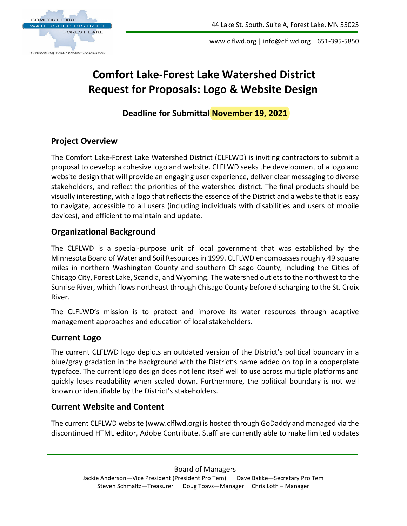

www.clflwd.org | info@clflwd.org | 651-395-5850

# **Comfort Lake-Forest Lake Watershed District Request for Proposals: Logo & Website Design**

**Deadline for Submittal November 19, 2021**

## **Project Overview**

The Comfort Lake-Forest Lake Watershed District (CLFLWD) is inviting contractors to submit a proposal to develop a cohesive logo and website. CLFLWD seeks the development of a logo and website design that will provide an engaging user experience, deliver clear messaging to diverse stakeholders, and reflect the priorities of the watershed district. The final products should be visually interesting, with a logo that reflects the essence of the District and a website that is easy to navigate, accessible to all users (including individuals with disabilities and users of mobile devices), and efficient to maintain and update.

## **Organizational Background**

The CLFLWD is a special-purpose unit of local government that was established by the Minnesota Board of Water and Soil Resources in 1999. CLFLWD encompasses roughly 49 square miles in northern Washington County and southern Chisago County, including the Cities of Chisago City, Forest Lake, Scandia, and Wyoming. The watershed outlets to the northwest to the Sunrise River, which flows northeast through Chisago County before discharging to the St. Croix River.

The CLFLWD's mission is to protect and improve its water resources through adaptive management approaches and education of local stakeholders.

## **Current Logo**

The current CLFLWD logo depicts an outdated version of the District's political boundary in a blue/gray gradation in the background with the District's name added on top in a copperplate typeface. The current logo design does not lend itself well to use across multiple platforms and quickly loses readability when scaled down. Furthermore, the political boundary is not well known or identifiable by the District's stakeholders.

## **Current Website and Content**

The current CLFLWD website (www.clflwd.org) is hosted through GoDaddy and managed via the discontinued HTML editor, Adobe Contribute. Staff are currently able to make limited updates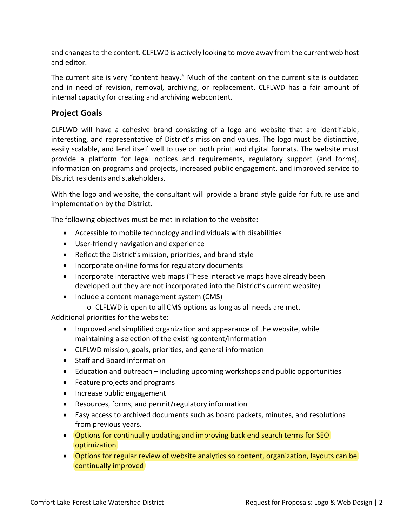and changes to the content. CLFLWD is actively looking to move away from the current web host and editor.

The current site is very "content heavy." Much of the content on the current site is outdated and in need of revision, removal, archiving, or replacement. CLFLWD has a fair amount of internal capacity for creating and archiving webcontent.

#### **Project Goals**

CLFLWD will have a cohesive brand consisting of a logo and website that are identifiable, interesting, and representative of District's mission and values. The logo must be distinctive, easily scalable, and lend itself well to use on both print and digital formats. The website must provide a platform for legal notices and requirements, regulatory support (and forms), information on programs and projects, increased public engagement, and improved service to District residents and stakeholders.

With the logo and website, the consultant will provide a brand style guide for future use and implementation by the District.

The following objectives must be met in relation to the website:

- Accessible to mobile technology and individuals with disabilities
- User-friendly navigation and experience
- Reflect the District's mission, priorities, and brand style
- Incorporate on-line forms for regulatory documents
- Incorporate interactive web maps (These interactive maps have already been developed but they are not incorporated into the District's current website)
- Include a content management system (CMS)
	- o CLFLWD is open to all CMS options as long as all needs are met.

Additional priorities for the website:

- Improved and simplified organization and appearance of the website, while maintaining a selection of the existing content/information
- CLFLWD mission, goals, priorities, and general information
- Staff and Board information
- Education and outreach including upcoming workshops and public opportunities
- Feature projects and programs
- Increase public engagement
- Resources, forms, and permit/regulatory information
- Easy access to archived documents such as board packets, minutes, and resolutions from previous years.
- Options for continually updating and improving back end search terms for SEO optimization
- Options for regular review of website analytics so content, organization, layouts can be continually improved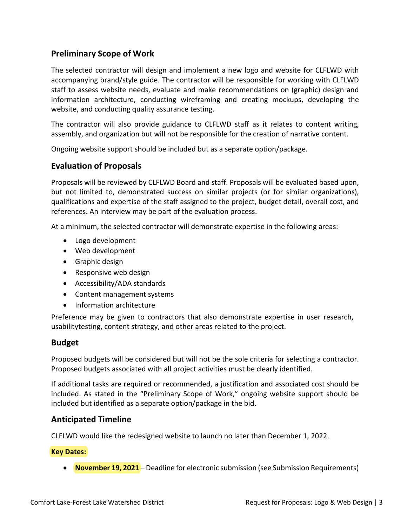### **Preliminary Scope of Work**

The selected contractor will design and implement a new logo and website for CLFLWD with accompanying brand/style guide. The contractor will be responsible for working with CLFLWD staff to assess website needs, evaluate and make recommendations on (graphic) design and information architecture, conducting wireframing and creating mockups, developing the website, and conducting quality assurance testing.

The contractor will also provide guidance to CLFLWD staff as it relates to content writing, assembly, and organization but will not be responsible for the creation of narrative content.

Ongoing website support should be included but as a separate option/package.

#### **Evaluation of Proposals**

Proposals will be reviewed by CLFLWD Board and staff. Proposals will be evaluated based upon, but not limited to, demonstrated success on similar projects (or for similar organizations), qualifications and expertise of the staff assigned to the project, budget detail, overall cost, and references. An interview may be part of the evaluation process.

At a minimum, the selected contractor will demonstrate expertise in the following areas:

- Logo development
- Web development
- Graphic design
- Responsive web design
- Accessibility/ADA standards
- Content management systems
- Information architecture

Preference may be given to contractors that also demonstrate expertise in user research, usabilitytesting, content strategy, and other areas related to the project.

#### **Budget**

Proposed budgets will be considered but will not be the sole criteria for selecting a contractor. Proposed budgets associated with all project activities must be clearly identified.

If additional tasks are required or recommended, a justification and associated cost should be included. As stated in the "Preliminary Scope of Work," ongoing website support should be included but identified as a separate option/package in the bid.

#### **Anticipated Timeline**

CLFLWD would like the redesigned website to launch no later than December 1, 2022.

#### **Key Dates:**

• **November 19, 2021** – Deadline for electronic submission (see Submission Requirements)